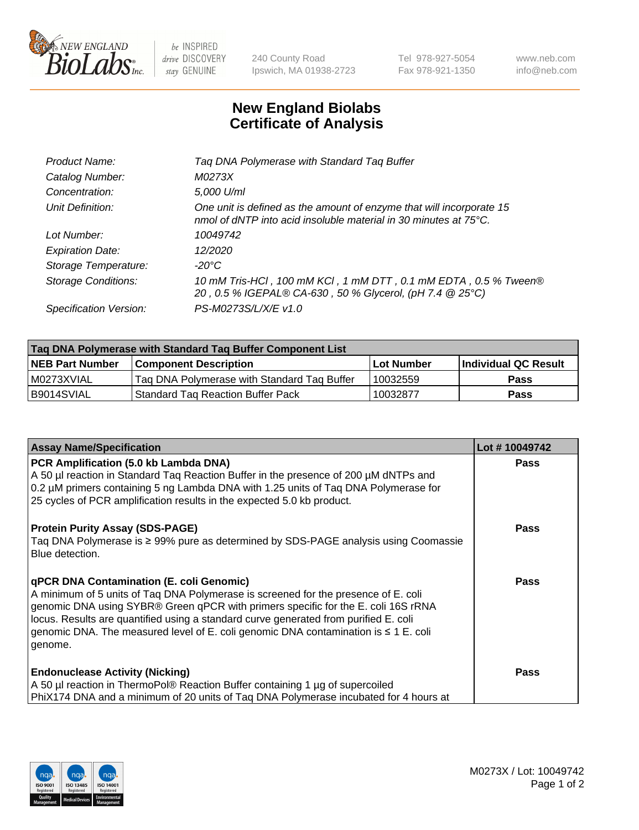

 $be$  INSPIRED drive DISCOVERY stay GENUINE

240 County Road Ipswich, MA 01938-2723 Tel 978-927-5054 Fax 978-921-1350 www.neb.com info@neb.com

## **New England Biolabs Certificate of Analysis**

| Tag DNA Polymerase with Standard Tag Buffer                                                                                              |
|------------------------------------------------------------------------------------------------------------------------------------------|
| M0273X                                                                                                                                   |
| 5,000 U/ml                                                                                                                               |
| One unit is defined as the amount of enzyme that will incorporate 15<br>nmol of dNTP into acid insoluble material in 30 minutes at 75°C. |
| 10049742                                                                                                                                 |
| 12/2020                                                                                                                                  |
| $-20^{\circ}$ C                                                                                                                          |
| 10 mM Tris-HCl, 100 mM KCl, 1 mM DTT, 0.1 mM EDTA, 0.5 % Tween®<br>20, 0.5 % IGEPAL® CA-630, 50 % Glycerol, (pH 7.4 @ 25°C)              |
| PS-M0273S/L/X/E v1.0                                                                                                                     |
|                                                                                                                                          |

| Tag DNA Polymerase with Standard Tag Buffer Component List |                                             |                   |                      |  |  |
|------------------------------------------------------------|---------------------------------------------|-------------------|----------------------|--|--|
| <b>NEB Part Number</b>                                     | Component Description_                      | <b>Lot Number</b> | Individual QC Result |  |  |
| I M0273XVIAL                                               | Tag DNA Polymerase with Standard Tag Buffer | 10032559          | Pass                 |  |  |
| B9014SVIAL                                                 | Standard Tag Reaction Buffer Pack           | 10032877          | <b>Pass</b>          |  |  |

| <b>Assay Name/Specification</b>                                                                                                                                                                                                                                                                                                                                                                                    | Lot #10049742 |
|--------------------------------------------------------------------------------------------------------------------------------------------------------------------------------------------------------------------------------------------------------------------------------------------------------------------------------------------------------------------------------------------------------------------|---------------|
| PCR Amplification (5.0 kb Lambda DNA)<br>A 50 µl reaction in Standard Tag Reaction Buffer in the presence of 200 µM dNTPs and<br>0.2 µM primers containing 5 ng Lambda DNA with 1.25 units of Taq DNA Polymerase for<br>25 cycles of PCR amplification results in the expected 5.0 kb product.                                                                                                                     | <b>Pass</b>   |
| <b>Protein Purity Assay (SDS-PAGE)</b><br>Taq DNA Polymerase is ≥ 99% pure as determined by SDS-PAGE analysis using Coomassie<br>Blue detection.                                                                                                                                                                                                                                                                   | <b>Pass</b>   |
| qPCR DNA Contamination (E. coli Genomic)<br>A minimum of 5 units of Taq DNA Polymerase is screened for the presence of E. coli<br>genomic DNA using SYBR® Green qPCR with primers specific for the E. coli 16S rRNA<br>locus. Results are quantified using a standard curve generated from purified E. coli<br>genomic DNA. The measured level of E. coli genomic DNA contamination is $\leq 1$ E. coli<br>genome. | <b>Pass</b>   |
| <b>Endonuclease Activity (Nicking)</b><br>A 50 µl reaction in ThermoPol® Reaction Buffer containing 1 µg of supercoiled<br>PhiX174 DNA and a minimum of 20 units of Tag DNA Polymerase incubated for 4 hours at                                                                                                                                                                                                    | <b>Pass</b>   |